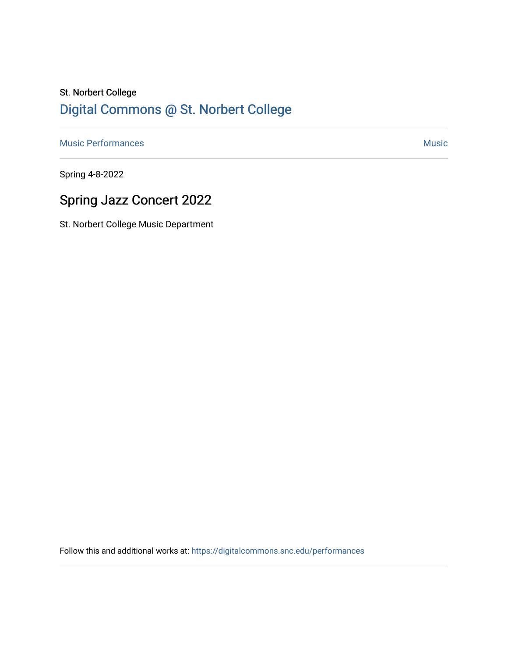# St. Norbert College [Digital Commons @ St. Norbert College](https://digitalcommons.snc.edu/)

[Music Performances](https://digitalcommons.snc.edu/performances) **Music** [Music](https://digitalcommons.snc.edu/music) **Music** Music **Music** 

Spring 4-8-2022

# Spring Jazz Concert 2022

St. Norbert College Music Department

Follow this and additional works at: [https://digitalcommons.snc.edu/performances](https://digitalcommons.snc.edu/performances?utm_source=digitalcommons.snc.edu%2Fperformances%2F169&utm_medium=PDF&utm_campaign=PDFCoverPages)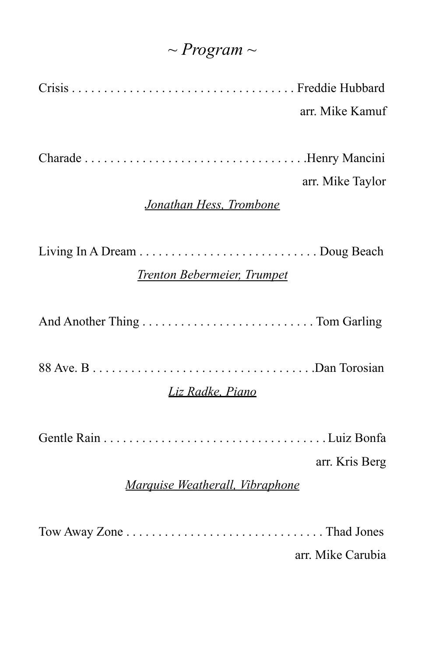## *~ Program ~*

Crisis . . . . . . . . . . . . . . . . . . . . . . . . . . . . . . . . . . . Freddie Hubbard arr. Mike Kamuf

Charade . . . . . . . . . . . . . . . . . . . . . . . . . . . . . . . . . . .Henry Mancini

### arr. Mike Taylor

#### *Jonathan Hess, Trombone*

Living In A Dream . . . . . . . . . . . . . . . . . . . . . . . . . . . . Doug Beach

### *Trenton Bebermeier, Trumpet*

And Another Thing . . . . . . . . . . . . . . . . . . . . . . . . . . . Tom Garling

88 Ave. B . . . . . . . . . . . . . . . . . . . . . . . . . . . . . . . . . . .Dan Torosian

#### *Liz Radke, Piano*

Gentle Rain . . . . . . . . . . . . . . . . . . . . . . . . . . . . . . . . . . . Luiz Bonfa

arr. Kris Berg

#### *Marquise Weatherall, Vibraphone*

Tow Away Zone . . . . . . . . . . . . . . . . . . . . . . . . . . . . . . . Thad Jones

arr. Mike Carubia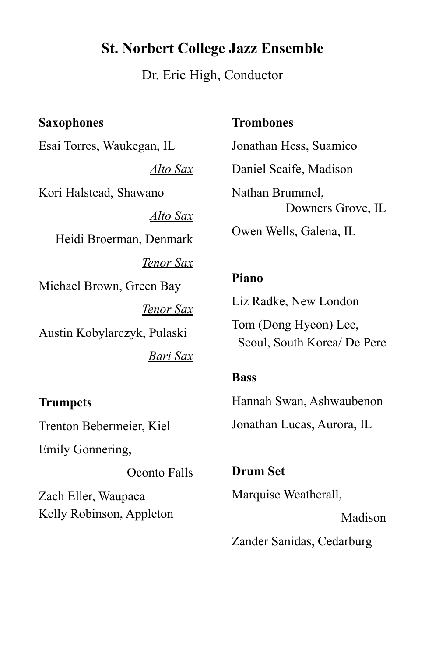### **St. Norbert College Jazz Ensemble**

Dr. Eric High, Conductor

**Saxophones** Esai Torres, Waukegan, IL *Alto Sax* Kori Halstead, Shawano *Alto Sax* Heidi Broerman, Denmark *Tenor Sax* Michael Brown, Green Bay *Tenor Sax* Austin Kobylarczyk, Pulaski *Bari Sax*

**Trumpets** Trenton Bebermeier, Kiel Emily Gonnering,

Oconto Falls Zach Eller, Waupaca Kelly Robinson, Appleton

**Trombones**

Jonathan Hess, Suamico Daniel Scaife, Madison Nathan Brummel, Downers Grove, IL Owen Wells, Galena, IL

#### **Piano**

Liz Radke, New London

Tom (Dong Hyeon) Lee, Seoul, South Korea/ De Pere

#### **Bass**

Hannah Swan, Ashwaubenon Jonathan Lucas, Aurora, IL

**Drum Set** Marquise Weatherall, Madison

Zander Sanidas, Cedarburg